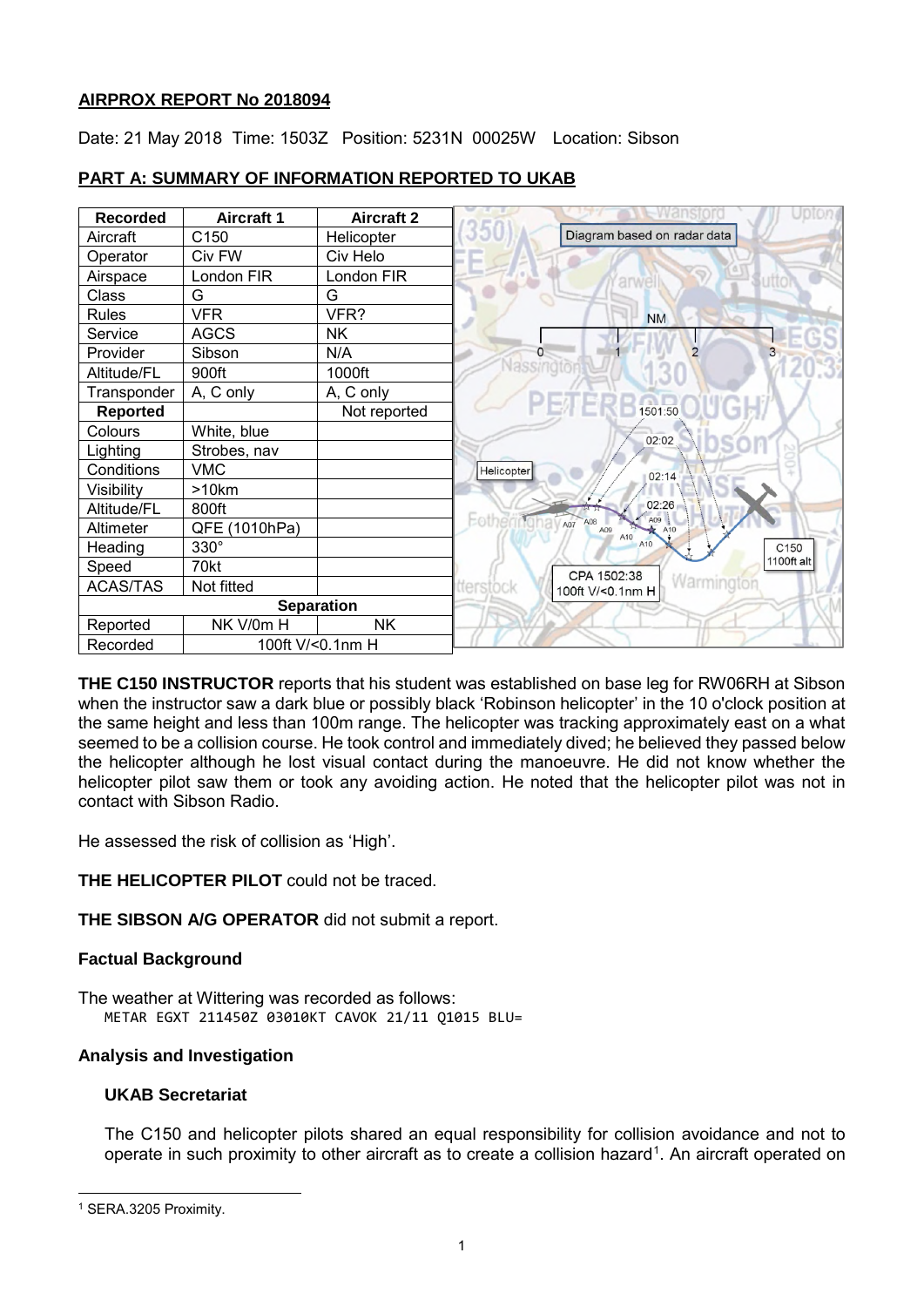### **AIRPROX REPORT No 2018094**

Date: 21 May 2018 Time: 1503Z Position: 5231N 00025W Location: Sibson

| <b>Recorded</b>   | <b>Aircraft 1</b> | <b>Aircraft 2</b> |                                             |
|-------------------|-------------------|-------------------|---------------------------------------------|
| Aircraft          | C150              | Helicopter        | Diagram based on radar data                 |
| Operator          | Civ FW            | Civ Helo          |                                             |
| Airspace          | London FIR        | London FIR        | arwell                                      |
| Class             | G                 | G                 |                                             |
| <b>Rules</b>      | <b>VFR</b>        | VFR?              | <b>NM</b>                                   |
| Service           | <b>AGCS</b>       | <b>NK</b>         |                                             |
| Provider          | Sibson            | N/A               | $\mathcal{P}$<br>O<br>3                     |
| Altitude/FL       | 900ft             | 1000ft            |                                             |
| Transponder       | A, C only         | A, C only         |                                             |
| Reported          |                   | Not reported      | 1501:50                                     |
| Colours           | White, blue       |                   | 02:02                                       |
| Lighting          | Strobes, nav      |                   |                                             |
| Conditions        | <b>VMC</b>        |                   | Helicopter<br>02:14                         |
| Visibility        | >10km             |                   |                                             |
| Altitude/FL       | 800ft             |                   | 02:26<br>A09                                |
| Altimeter         | QFE (1010hPa)     |                   | Eother<br>A07<br>A08<br>A10<br>A09<br>A10   |
| Heading           | $330^\circ$       |                   | A10<br>C150                                 |
| Speed             | 70kt              |                   | 1100ft alt<br>CPA 1502:38                   |
| <b>ACAS/TAS</b>   | Not fitted        |                   | Warmington<br>tterstock<br>100ft V/<0.1nm H |
| <b>Separation</b> |                   |                   |                                             |
| Reported          | NK V/0m H         | <b>NK</b>         |                                             |
| Recorded          | 100ft V/<0.1nm H  |                   |                                             |

# **PART A: SUMMARY OF INFORMATION REPORTED TO UKAB**

**THE C150 INSTRUCTOR** reports that his student was established on base leg for RW06RH at Sibson when the instructor saw a dark blue or possibly black 'Robinson helicopter' in the 10 o'clock position at the same height and less than 100m range. The helicopter was tracking approximately east on a what seemed to be a collision course. He took control and immediately dived; he believed they passed below the helicopter although he lost visual contact during the manoeuvre. He did not know whether the helicopter pilot saw them or took any avoiding action. He noted that the helicopter pilot was not in contact with Sibson Radio.

He assessed the risk of collision as 'High'.

**THE HELICOPTER PILOT** could not be traced.

**THE SIBSON A/G OPERATOR** did not submit a report.

# **Factual Background**

The weather at Wittering was recorded as follows: METAR EGXT 211450Z 03010KT CAVOK 21/11 Q1015 BLU=

# **Analysis and Investigation**

# **UKAB Secretariat**

The C150 and helicopter pilots shared an equal responsibility for collision avoidance and not to operate in such proximity to other aircraft as to create a collision hazard<sup>[1](#page-0-0)</sup>. An aircraft operated on

 $\overline{\phantom{a}}$ 

<span id="page-0-0"></span><sup>1</sup> SERA.3205 Proximity.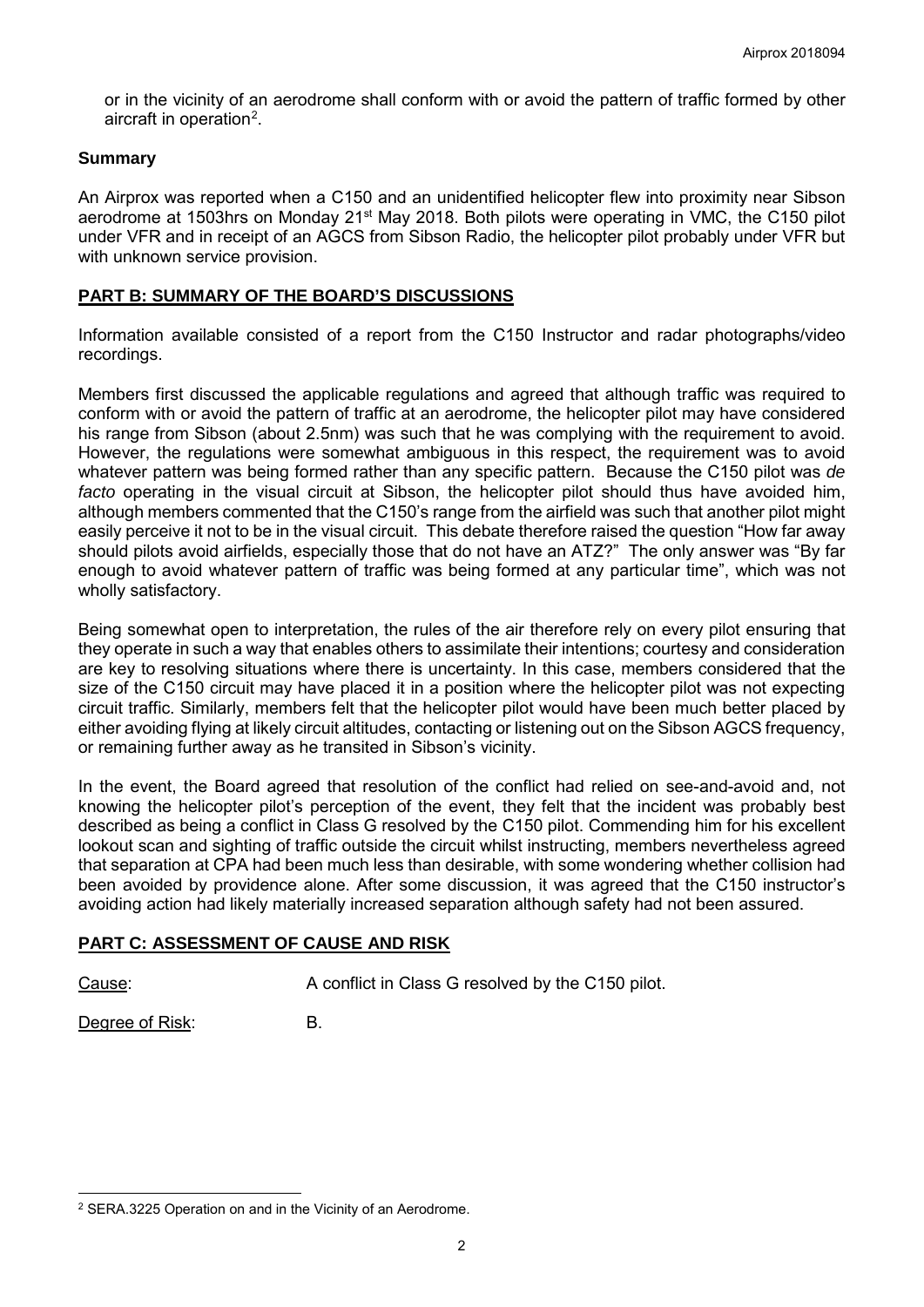or in the vicinity of an aerodrome shall conform with or avoid the pattern of traffic formed by other aircraft in operation<sup>[2](#page-1-0)</sup>.

#### **Summary**

An Airprox was reported when a C150 and an unidentified helicopter flew into proximity near Sibson aerodrome at 1503hrs on Monday 21<sup>st</sup> May 2018. Both pilots were operating in VMC, the C150 pilot under VFR and in receipt of an AGCS from Sibson Radio, the helicopter pilot probably under VFR but with unknown service provision.

### **PART B: SUMMARY OF THE BOARD'S DISCUSSIONS**

Information available consisted of a report from the C150 Instructor and radar photographs/video recordings.

Members first discussed the applicable regulations and agreed that although traffic was required to conform with or avoid the pattern of traffic at an aerodrome, the helicopter pilot may have considered his range from Sibson (about 2.5nm) was such that he was complying with the requirement to avoid. However, the regulations were somewhat ambiguous in this respect, the requirement was to avoid whatever pattern was being formed rather than any specific pattern. Because the C150 pilot was *de facto* operating in the visual circuit at Sibson, the helicopter pilot should thus have avoided him, although members commented that the C150's range from the airfield was such that another pilot might easily perceive it not to be in the visual circuit. This debate therefore raised the question "How far away should pilots avoid airfields, especially those that do not have an ATZ?" The only answer was "By far enough to avoid whatever pattern of traffic was being formed at any particular time", which was not wholly satisfactory.

Being somewhat open to interpretation, the rules of the air therefore rely on every pilot ensuring that they operate in such a way that enables others to assimilate their intentions; courtesy and consideration are key to resolving situations where there is uncertainty. In this case, members considered that the size of the C150 circuit may have placed it in a position where the helicopter pilot was not expecting circuit traffic. Similarly, members felt that the helicopter pilot would have been much better placed by either avoiding flying at likely circuit altitudes, contacting or listening out on the Sibson AGCS frequency, or remaining further away as he transited in Sibson's vicinity.

In the event, the Board agreed that resolution of the conflict had relied on see-and-avoid and, not knowing the helicopter pilot's perception of the event, they felt that the incident was probably best described as being a conflict in Class G resolved by the C150 pilot. Commending him for his excellent lookout scan and sighting of traffic outside the circuit whilst instructing, members nevertheless agreed that separation at CPA had been much less than desirable, with some wondering whether collision had been avoided by providence alone. After some discussion, it was agreed that the C150 instructor's avoiding action had likely materially increased separation although safety had not been assured.

# **PART C: ASSESSMENT OF CAUSE AND RISK**

 $\overline{\phantom{a}}$ 

Cause: A conflict in Class G resolved by the C150 pilot.

Degree of Risk: B.

<span id="page-1-0"></span><sup>2</sup> SERA.3225 Operation on and in the Vicinity of an Aerodrome.